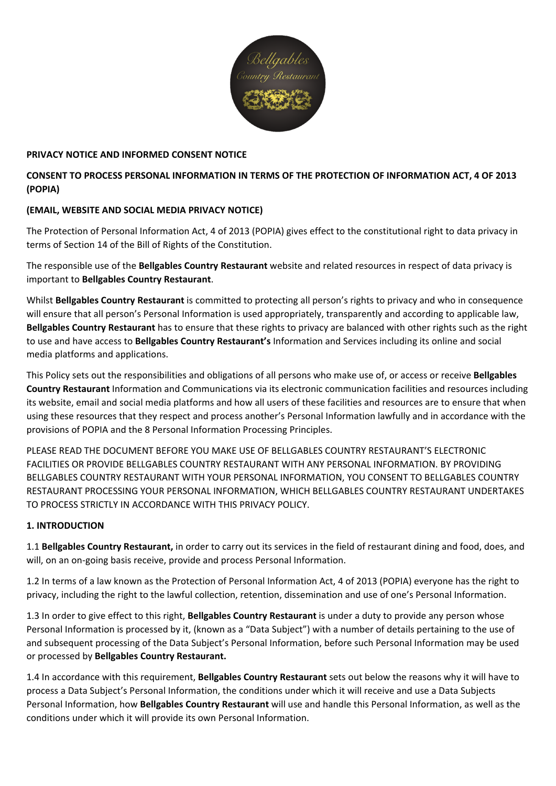

## **PRIVACY NOTICE AND INFORMED CONSENT NOTICE**

# **CONSENT TO PROCESS PERSONAL INFORMATION IN TERMS OF THE PROTECTION OF INFORMATION ACT, 4 OF 2013 (POPIA)**

# **(EMAIL, WEBSITE AND SOCIAL MEDIA PRIVACY NOTICE)**

The Protection of Personal Information Act, 4 of 2013 (POPIA) gives effect to the constitutional right to data privacy in terms of Section 14 of the Bill of Rights of the Constitution.

The responsible use of the **Bellgables Country Restaurant** website and related resources in respect of data privacy is important to **Bellgables Country Restaurant**.

Whilst **Bellgables Country Restaurant** is committed to protecting all person's rights to privacy and who in consequence will ensure that all person's Personal Information is used appropriately, transparently and according to applicable law, **Bellgables Country Restaurant** has to ensure that these rights to privacy are balanced with other rights such as the right to use and have access to **Bellgables Country Restaurant's** Information and Services including its online and social media platforms and applications.

This Policy sets out the responsibilities and obligations of all persons who make use of, or access or receive **Bellgables Country Restaurant** Information and Communications via its electronic communication facilities and resources including its website, email and social media platforms and how all users of these facilities and resources are to ensure that when using these resources that they respect and process another's Personal Information lawfully and in accordance with the provisions of POPIA and the 8 Personal Information Processing Principles.

PLEASE READ THE DOCUMENT BEFORE YOU MAKE USE OF BELLGABLES COUNTRY RESTAURANT'S ELECTRONIC FACILITIES OR PROVIDE BELLGABLES COUNTRY RESTAURANT WITH ANY PERSONAL INFORMATION. BY PROVIDING BELLGABLES COUNTRY RESTAURANT WITH YOUR PERSONAL INFORMATION, YOU CONSENT TO BELLGABLES COUNTRY RESTAURANT PROCESSING YOUR PERSONAL INFORMATION, WHICH BELLGABLES COUNTRY RESTAURANT UNDERTAKES TO PROCESS STRICTLY IN ACCORDANCE WITH THIS PRIVACY POLICY.

### **1. INTRODUCTION**

1.1 **Bellgables Country Restaurant,** in order to carry out its services in the field of restaurant dining and food, does, and will, on an on-going basis receive, provide and process Personal Information.

1.2 In terms of a law known as the Protection of Personal Information Act, 4 of 2013 (POPIA) everyone has the right to privacy, including the right to the lawful collection, retention, dissemination and use of one's Personal Information.

1.3 In order to give effect to this right, **Bellgables Country Restaurant** is under a duty to provide any person whose Personal Information is processed by it, (known as a "Data Subject") with a number of details pertaining to the use of and subsequent processing of the Data Subject's Personal Information, before such Personal Information may be used or processed by **Bellgables Country Restaurant.**

1.4 In accordance with this requirement, **Bellgables Country Restaurant** sets out below the reasons why it will have to process a Data Subject's Personal Information, the conditions under which it will receive and use a Data Subjects Personal Information, how **Bellgables Country Restaurant** will use and handle this Personal Information, as well as the conditions under which it will provide its own Personal Information.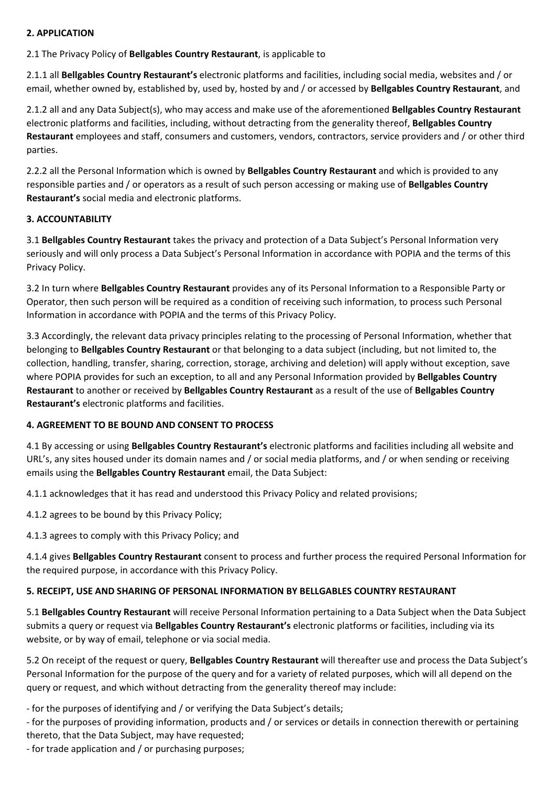# **2. APPLICATION**

2.1 The Privacy Policy of **Bellgables Country Restaurant**, is applicable to

2.1.1 all **Bellgables Country Restaurant's** electronic platforms and facilities, including social media, websites and / or email, whether owned by, established by, used by, hosted by and / or accessed by **Bellgables Country Restaurant**, and

2.1.2 all and any Data Subject(s), who may access and make use of the aforementioned **Bellgables Country Restaurant** electronic platforms and facilities, including, without detracting from the generality thereof, **Bellgables Country Restaurant** employees and staff, consumers and customers, vendors, contractors, service providers and / or other third parties.

2.2.2 all the Personal Information which is owned by **Bellgables Country Restaurant** and which is provided to any responsible parties and / or operators as a result of such person accessing or making use of **Bellgables Country Restaurant's** social media and electronic platforms.

### **3. ACCOUNTABILITY**

3.1 **Bellgables Country Restaurant** takes the privacy and protection of a Data Subject's Personal Information very seriously and will only process a Data Subject's Personal Information in accordance with POPIA and the terms of this Privacy Policy.

3.2 In turn where **Bellgables Country Restaurant** provides any of its Personal Information to a Responsible Party or Operator, then such person will be required as a condition of receiving such information, to process such Personal Information in accordance with POPIA and the terms of this Privacy Policy.

3.3 Accordingly, the relevant data privacy principles relating to the processing of Personal Information, whether that belonging to **Bellgables Country Restaurant** or that belonging to a data subject (including, but not limited to, the collection, handling, transfer, sharing, correction, storage, archiving and deletion) will apply without exception, save where POPIA provides for such an exception, to all and any Personal Information provided by **Bellgables Country Restaurant** to another or received by **Bellgables Country Restaurant** as a result of the use of **Bellgables Country Restaurant's** electronic platforms and facilities.

### **4. AGREEMENT TO BE BOUND AND CONSENT TO PROCESS**

4.1 By accessing or using **Bellgables Country Restaurant's** electronic platforms and facilities including all website and URL's, any sites housed under its domain names and / or social media platforms, and / or when sending or receiving emails using the **Bellgables Country Restaurant** email, the Data Subject:

4.1.1 acknowledges that it has read and understood this Privacy Policy and related provisions;

4.1.2 agrees to be bound by this Privacy Policy;

4.1.3 agrees to comply with this Privacy Policy; and

4.1.4 gives **Bellgables Country Restaurant** consent to process and further process the required Personal Information for the required purpose, in accordance with this Privacy Policy.

### **5. RECEIPT, USE AND SHARING OF PERSONAL INFORMATION BY BELLGABLES COUNTRY RESTAURANT**

5.1 **Bellgables Country Restaurant** will receive Personal Information pertaining to a Data Subject when the Data Subject submits a query or request via **Bellgables Country Restaurant's** electronic platforms or facilities, including via its website, or by way of email, telephone or via social media.

5.2 On receipt of the request or query, **Bellgables Country Restaurant** will thereafter use and process the Data Subject's Personal Information for the purpose of the query and for a variety of related purposes, which will all depend on the query or request, and which without detracting from the generality thereof may include:

‐ for the purposes of identifying and / or verifying the Data Subject's details;

‐ for the purposes of providing information, products and / or services or details in connection therewith or pertaining thereto, that the Data Subject, may have requested;

‐ for trade application and / or purchasing purposes;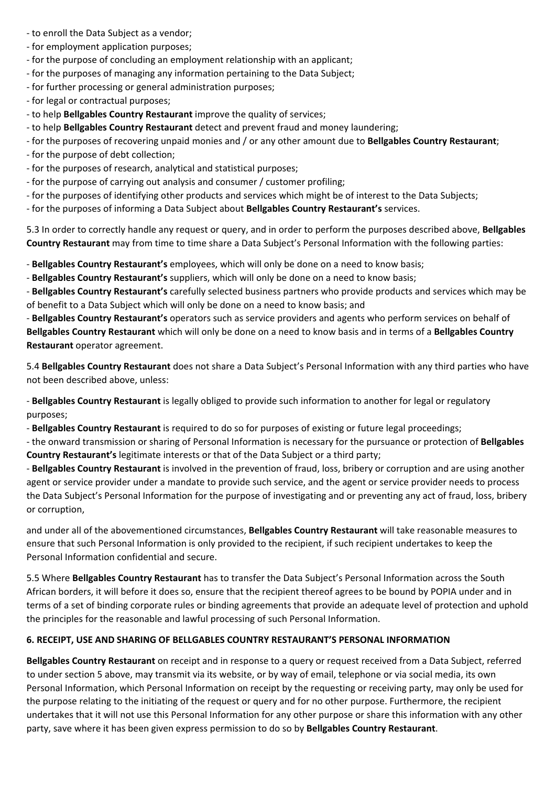- ‐ to enroll the Data Subject as a vendor;
- ‐ for employment application purposes;
- ‐ for the purpose of concluding an employment relationship with an applicant;
- ‐ for the purposes of managing any information pertaining to the Data Subject;
- ‐ for further processing or general administration purposes;
- ‐ for legal or contractual purposes;
- ‐ to help **Bellgables Country Restaurant** improve the quality of services;
- ‐ to help **Bellgables Country Restaurant** detect and prevent fraud and money laundering;
- ‐ for the purposes of recovering unpaid monies and / or any other amount due to **Bellgables Country Restaurant**;
- ‐ for the purpose of debt collection;
- ‐ for the purposes of research, analytical and statistical purposes;
- ‐ for the purpose of carrying out analysis and consumer / customer profiling;
- ‐ for the purposes of identifying other products and services which might be of interest to the Data Subjects;
- ‐ for the purposes of informing a Data Subject about **Bellgables Country Restaurant's** services.

5.3 In order to correctly handle any request or query, and in order to perform the purposes described above, **Bellgables Country Restaurant** may from time to time share a Data Subject's Personal Information with the following parties:

‐ **Bellgables Country Restaurant's** employees, which will only be done on a need to know basis;

‐ **Bellgables Country Restaurant's** suppliers, which will only be done on a need to know basis;

‐ **Bellgables Country Restaurant's** carefully selected business partners who provide products and services which may be of benefit to a Data Subject which will only be done on a need to know basis; and

‐ **Bellgables Country Restaurant's** operators such as service providers and agents who perform services on behalf of **Bellgables Country Restaurant** which will only be done on a need to know basis and in terms of a **Bellgables Country Restaurant** operator agreement.

5.4 **Bellgables Country Restaurant** does not share a Data Subject's Personal Information with any third parties who have not been described above, unless:

‐ **Bellgables Country Restaurant** is legally obliged to provide such information to another for legal or regulatory purposes;

‐ **Bellgables Country Restaurant** is required to do so for purposes of existing or future legal proceedings;

‐ the onward transmission or sharing of Personal Information is necessary for the pursuance or protection of **Bellgables Country Restaurant's** legitimate interests or that of the Data Subject or a third party;

‐ **Bellgables Country Restaurant** is involved in the prevention of fraud, loss, bribery or corruption and are using another agent or service provider under a mandate to provide such service, and the agent or service provider needs to process the Data Subject's Personal Information for the purpose of investigating and or preventing any act of fraud, loss, bribery or corruption,

and under all of the abovementioned circumstances, **Bellgables Country Restaurant** will take reasonable measures to ensure that such Personal Information is only provided to the recipient, if such recipient undertakes to keep the Personal Information confidential and secure.

5.5 Where **Bellgables Country Restaurant** has to transfer the Data Subject's Personal Information across the South African borders, it will before it does so, ensure that the recipient thereof agrees to be bound by POPIA under and in terms of a set of binding corporate rules or binding agreements that provide an adequate level of protection and uphold the principles for the reasonable and lawful processing of such Personal Information.

#### **6. RECEIPT, USE AND SHARING OF BELLGABLES COUNTRY RESTAURANT'S PERSONAL INFORMATION**

**Bellgables Country Restaurant** on receipt and in response to a query or request received from a Data Subject, referred to under section 5 above, may transmit via its website, or by way of email, telephone or via social media, its own Personal Information, which Personal Information on receipt by the requesting or receiving party, may only be used for the purpose relating to the initiating of the request or query and for no other purpose. Furthermore, the recipient undertakes that it will not use this Personal Information for any other purpose or share this information with any other party, save where it has been given express permission to do so by **Bellgables Country Restaurant**.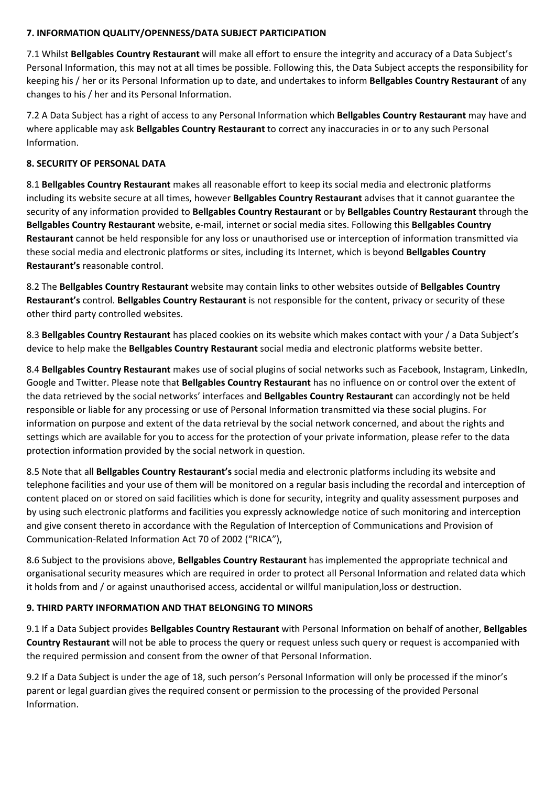# **7. INFORMATION QUALITY/OPENNESS/DATA SUBJECT PARTICIPATION**

7.1 Whilst **Bellgables Country Restaurant** will make all effort to ensure the integrity and accuracy of a Data Subject's Personal Information, this may not at all times be possible. Following this, the Data Subject accepts the responsibility for keeping his / her or its Personal Information up to date, and undertakes to inform **Bellgables Country Restaurant** of any changes to his / her and its Personal Information.

7.2 A Data Subject has a right of access to any Personal Information which **Bellgables Country Restaurant** may have and where applicable may ask **Bellgables Country Restaurant** to correct any inaccuracies in or to any such Personal Information.

# **8. SECURITY OF PERSONAL DATA**

8.1 **Bellgables Country Restaurant** makes all reasonable effort to keep its social media and electronic platforms including its website secure at all times, however **Bellgables Country Restaurant** advises that it cannot guarantee the security of any information provided to **Bellgables Country Restaurant** or by **Bellgables Country Restaurant** through the **Bellgables Country Restaurant** website, e‐mail, internet or social media sites. Following this **Bellgables Country Restaurant** cannot be held responsible for any loss or unauthorised use or interception of information transmitted via these social media and electronic platforms or sites, including its Internet, which is beyond **Bellgables Country Restaurant's** reasonable control.

8.2 The **Bellgables Country Restaurant** website may contain links to other websites outside of **Bellgables Country Restaurant's** control. **Bellgables Country Restaurant** is not responsible for the content, privacy or security of these other third party controlled websites.

8.3 **Bellgables Country Restaurant** has placed cookies on its website which makes contact with your / a Data Subject's device to help make the **Bellgables Country Restaurant** social media and electronic platforms website better.

8.4 **Bellgables Country Restaurant** makes use of social plugins of social networks such as Facebook, Instagram, LinkedIn, Google and Twitter. Please note that **Bellgables Country Restaurant** has no influence on or control over the extent of the data retrieved by the social networks' interfaces and **Bellgables Country Restaurant** can accordingly not be held responsible or liable for any processing or use of Personal Information transmitted via these social plugins. For information on purpose and extent of the data retrieval by the social network concerned, and about the rights and settings which are available for you to access for the protection of your private information, please refer to the data protection information provided by the social network in question.

8.5 Note that all **Bellgables Country Restaurant's** social media and electronic platforms including its website and telephone facilities and your use of them will be monitored on a regular basis including the recordal and interception of content placed on or stored on said facilities which is done for security, integrity and quality assessment purposes and by using such electronic platforms and facilities you expressly acknowledge notice of such monitoring and interception and give consent thereto in accordance with the Regulation of Interception of Communications and Provision of Communication‐Related Information Act 70 of 2002 ("RICA"),

8.6 Subject to the provisions above, **Bellgables Country Restaurant** has implemented the appropriate technical and organisational security measures which are required in order to protect all Personal Information and related data which it holds from and / or against unauthorised access, accidental or willful manipulation,loss or destruction.

# **9. THIRD PARTY INFORMATION AND THAT BELONGING TO MINORS**

9.1 If a Data Subject provides **Bellgables Country Restaurant** with Personal Information on behalf of another, **Bellgables Country Restaurant** will not be able to process the query or request unless such query or request is accompanied with the required permission and consent from the owner of that Personal Information.

9.2 If a Data Subject is under the age of 18, such person's Personal Information will only be processed if the minor's parent or legal guardian gives the required consent or permission to the processing of the provided Personal Information.